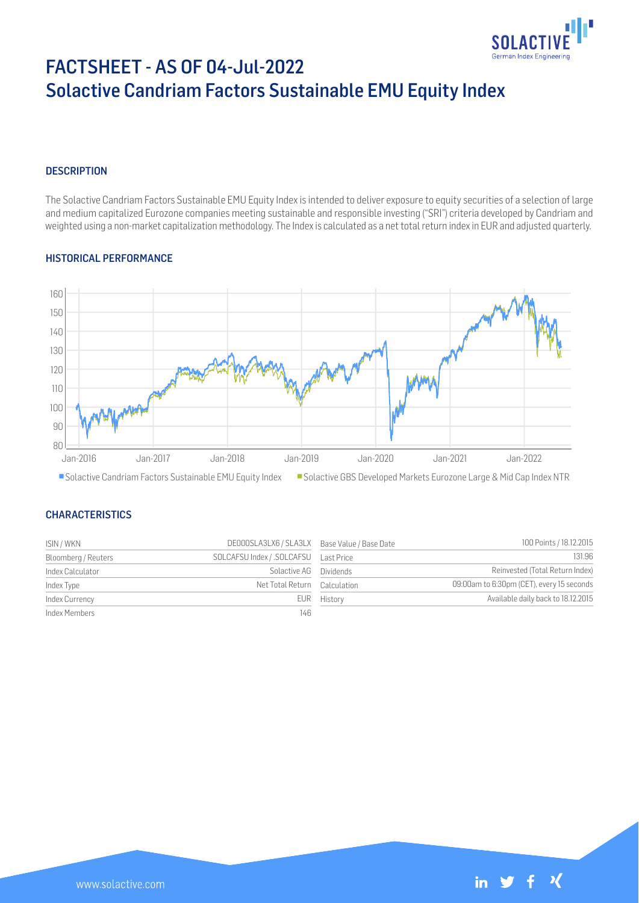

# FACTSHEET - AS OF 04-Jul-2022 Solactive Candriam Factors Sustainable EMU Equity Index

#### **DESCRIPTION**

The Solactive Candriam Factors Sustainable EMU Equity Index is intended to deliver exposure to equity securities of a selection of large and medium capitalized Eurozone companies meeting sustainable and responsible investing ("SRI") criteria developed by Candriam and weighted using a non-market capitalization methodology. The Index is calculated as a net total return index in EUR and adjusted quarterly.

#### HISTORICAL PERFORMANCE



## Solactive Candriam Factors Sustainable EMU Equity Index Solactive GBS Developed Markets Eurozone Large & Mid Cap Index NTR

#### **CHARACTERISTICS**

| ISIN / WKN          | DE000SLA3LX6 / SLA3LX Base Value / Base Date |             | 100 Points / 18.12.2015                   |
|---------------------|----------------------------------------------|-------------|-------------------------------------------|
| Bloomberg / Reuters | SOLCAFSU Index / .SOLCAFSU Last Price        |             | 131.96                                    |
| Index Calculator    | Solactive AG Dividends                       |             | Reinvested (Total Return Index)           |
| Index Type          | Net Total Return Calculation                 |             | 09:00am to 6:30pm (CET), every 15 seconds |
| Index Currency      |                                              | EUR History | Available daily back to 18.12.2015        |
| Index Members       | 146                                          |             |                                           |



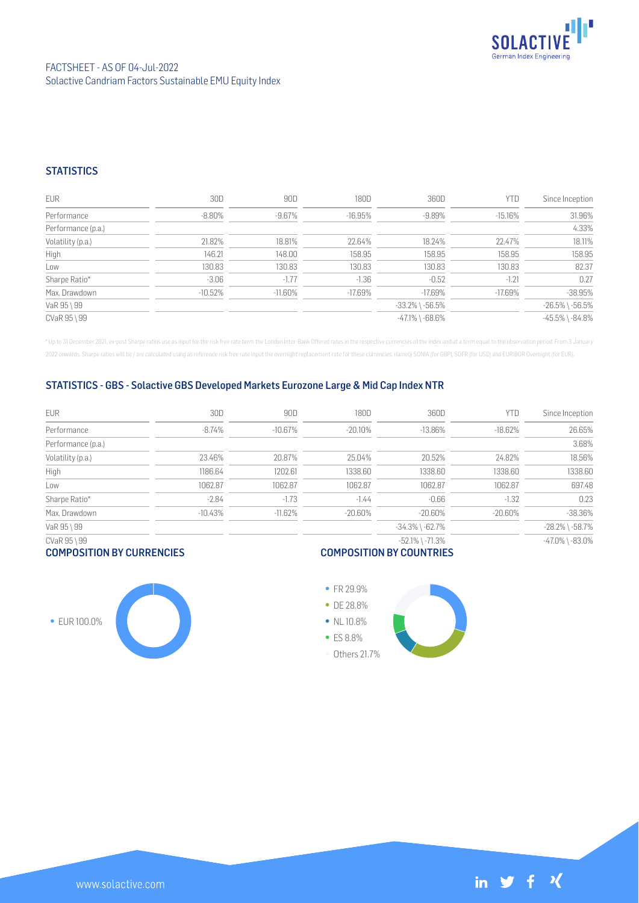

### **STATISTICS**

| <b>EUR</b>         | 30D       | 90D        | 180D      | 360D                  | YTD        | Since Inception       |
|--------------------|-----------|------------|-----------|-----------------------|------------|-----------------------|
| Performance        | $-8.80\%$ | -9.67%     | $-16.95%$ | $-9.89\%$             | $-15.16\%$ | 31.96%                |
| Performance (p.a.) |           |            |           |                       |            | 4.33%                 |
| Volatility (p.a.)  | 21.82%    | 18.81%     | 22.64%    | 18.24%                | 22.47%     | 18.11%                |
| High               | 146.21    | 148.00     | 158.95    | 158.95                | 158.95     | 158.95                |
| Low                | 130.83    | 130.83     | 130.83    | 130.83                | 130.83     | 82.37                 |
| Sharpe Ratio*      | $-3.06$   | $-1.77$    | $-1.36$   | $-0.52$               | $-1.21$    | 0.27                  |
| Max. Drawdown      | $-10.52%$ | $-11.60\%$ | $-17.69%$ | $-17.69%$             | $-17.69%$  | $-38.95%$             |
| VaR 95 \ 99        |           |            |           | $-33.2\%$ \ $-56.5\%$ |            | $-26.5\%$ \ $-56.5\%$ |
| CVaR 95 \ 99       |           |            |           | $-47.1\%$ \ $-68.6\%$ |            | $-45.5\%$ \ $-84.8\%$ |

\* Up to 31 December 2021, ex-post Sharpe ratios use as input for the risk free rate term the London Inter-Bank Offered rates in the respective currencies of the index and at a term equal to the observation period. From 3 J 2022 onwards, Sharpe ratios will be / are calculated using as reference risk free rate input the overnight replacement rate for these currencies, namely SONIA (for GBP), SOFR (for USD) and EURIBOR Overnight (for EUR).

#### STATISTICS - GBS - Solactive GBS Developed Markets Eurozone Large & Mid Cap Index NTR

| <b>EUR</b>         | 30D       | 90D       | 180D       | 360D                  | YTD       | Since Inception       |
|--------------------|-----------|-----------|------------|-----------------------|-----------|-----------------------|
| Performance        | $-8.74%$  | $-10.67%$ | $-20.10%$  | $-13.86%$             | $-18.62%$ | 26.65%                |
| Performance (p.a.) |           |           |            |                       |           | 3.68%                 |
| Volatility (p.a.)  | 23.46%    | 20.87%    | 25.04%     | 20.52%                | 24.82%    | 18.56%                |
| High               | 1186.64   | 1202.61   | 1338.60    | 1338.60               | 1338.60   | 1338.60               |
| Low                | 1062.87   | 1062.87   | 1062.87    | 1062.87               | 1062.87   | 697.48                |
| Sharpe Ratio*      | $-2.84$   | $-1.73$   | $-1.44$    | $-0.66$               | $-1.32$   | 0.23                  |
| Max. Drawdown      | $-10.43%$ | $-11.62%$ | $-20.60\%$ | $-20.60\%$            | -20.60%   | $-38.36%$             |
| VaR 95 \ 99        |           |           |            | $-34.3\%$ \ $-62.7\%$ |           | $-28.2\%$ \ $-58.7\%$ |
| CVaR 95 \ 99       |           |           |            | $-52.1\%$ \ $-71.3\%$ |           | $-47.0\%$ \ $-83.0\%$ |
|                    |           |           |            |                       |           |                       |

#### COMPOSITION BY CURRENCIES

# COMPOSITION BY COUNTRIES









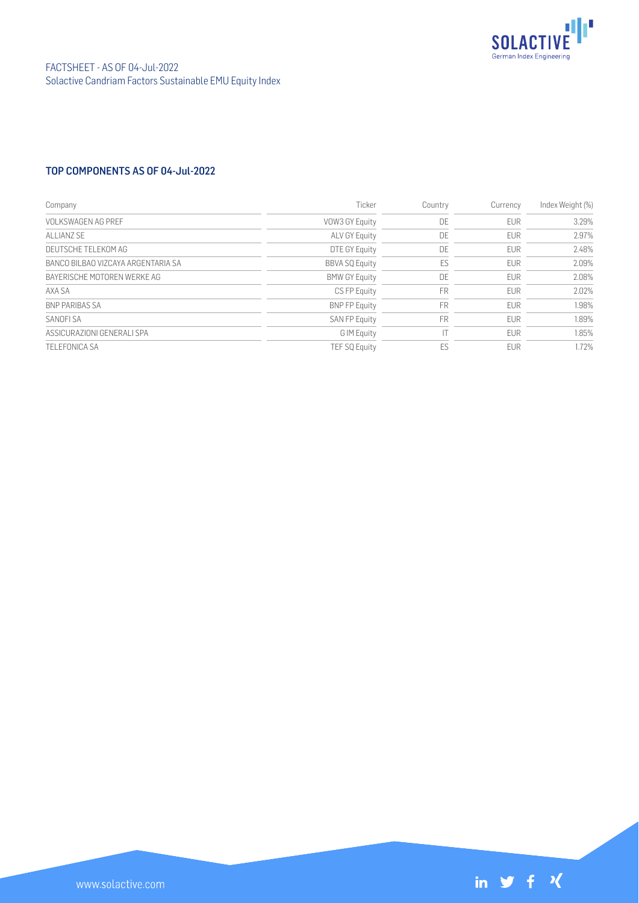

## TOP COMPONENTS AS OF 04-Jul-2022

| Company                            | Ticker                | Country   | Currency   | Index Weight (%) |
|------------------------------------|-----------------------|-----------|------------|------------------|
| VOLKSWAGEN AG PREE                 | VOW3 GY Equity        | DE        | <b>EUR</b> | 3.29%            |
| ALLIANZ SE                         | <b>ALV GY Equity</b>  | DE        | <b>EUR</b> | 2.97%            |
| DEUTSCHE TEI EKOM AG               | DTE GY Equity         | DE        | <b>EUR</b> | 2.48%            |
| BANCO BILBAO VIZCAYA ARGENTARIA SA | <b>BBVA SQ Equity</b> | ES        | <b>EUR</b> | 2.09%            |
| BAYERISCHE MOTOREN WERKE AG        | <b>BMW GY Equity</b>  | DE        | <b>EUR</b> | 2.08%            |
| AXA SA                             | CS FP Equity          | <b>FR</b> | <b>EUR</b> | 2.02%            |
| <b>BNP PARIBAS SA</b>              | <b>BNP FP Equity</b>  | <b>FR</b> | <b>EUR</b> | 1.98%            |
| SANOFI SA                          | <b>SAN FP Equity</b>  | <b>FR</b> | <b>EUR</b> | 1.89%            |
| ASSICURAZIONI GENERALI SPA         | G IM Equity           |           | <b>EUR</b> | 1.85%            |
| <b>TELEFONICA SA</b>               | <b>TEF SQ Equity</b>  | ES        | <b>FUR</b> | 1.72%            |